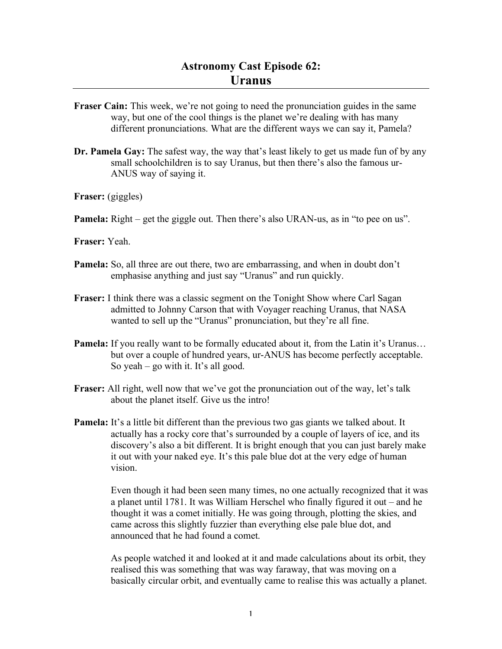- **Fraser Cain:** This week, we're not going to need the pronunciation guides in the same way, but one of the cool things is the planet we're dealing with has many different pronunciations. What are the different ways we can say it, Pamela?
- **Dr. Pamela Gay:** The safest way, the way that's least likely to get us made fun of by any small schoolchildren is to say Uranus, but then there's also the famous ur-ANUS way of saying it.
- **Fraser:** (giggles)
- **Pamela:** Right get the giggle out. Then there's also URAN-us, as in "to pee on us".
- **Fraser:** Yeah.
- **Pamela:** So, all three are out there, two are embarrassing, and when in doubt don't emphasise anything and just say "Uranus" and run quickly.
- **Fraser:** I think there was a classic segment on the Tonight Show where Carl Sagan admitted to Johnny Carson that with Voyager reaching Uranus, that NASA wanted to sell up the "Uranus" pronunciation, but they're all fine.
- **Pamela:** If you really want to be formally educated about it, from the Latin it's Uranus... but over a couple of hundred years, ur-ANUS has become perfectly acceptable. So yeah – go with it. It's all good.
- **Fraser:** All right, well now that we've got the pronunciation out of the way, let's talk about the planet itself. Give us the intro!
- **Pamela:** It's a little bit different than the previous two gas giants we talked about. It actually has a rocky core that's surrounded by a couple of layers of ice, and its discovery's also a bit different. It is bright enough that you can just barely make it out with your naked eye. It's this pale blue dot at the very edge of human vision.

Even though it had been seen many times, no one actually recognized that it was a planet until 1781. It was William Herschel who finally figured it out – and he thought it was a comet initially. He was going through, plotting the skies, and came across this slightly fuzzier than everything else pale blue dot, and announced that he had found a comet.

As people watched it and looked at it and made calculations about its orbit, they realised this was something that was way faraway, that was moving on a basically circular orbit, and eventually came to realise this was actually a planet.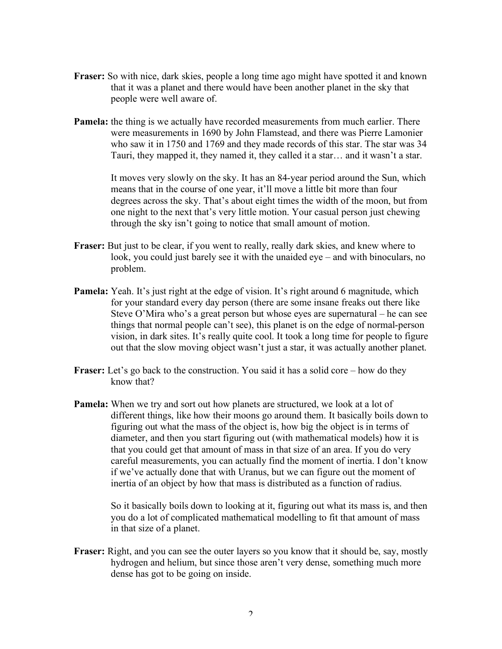- **Fraser:** So with nice, dark skies, people a long time ago might have spotted it and known that it was a planet and there would have been another planet in the sky that people were well aware of.
- **Pamela:** the thing is we actually have recorded measurements from much earlier. There were measurements in 1690 by John Flamstead, and there was Pierre Lamonier who saw it in 1750 and 1769 and they made records of this star. The star was 34 Tauri, they mapped it, they named it, they called it a star… and it wasn't a star.

It moves very slowly on the sky. It has an 84-year period around the Sun, which means that in the course of one year, it'll move a little bit more than four degrees across the sky. That's about eight times the width of the moon, but from one night to the next that's very little motion. Your casual person just chewing through the sky isn't going to notice that small amount of motion.

- **Fraser:** But just to be clear, if you went to really, really dark skies, and knew where to look, you could just barely see it with the unaided eye – and with binoculars, no problem.
- **Pamela:** Yeah. It's just right at the edge of vision. It's right around 6 magnitude, which for your standard every day person (there are some insane freaks out there like Steve O'Mira who's a great person but whose eyes are supernatural – he can see things that normal people can't see), this planet is on the edge of normal-person vision, in dark sites. It's really quite cool. It took a long time for people to figure out that the slow moving object wasn't just a star, it was actually another planet.
- **Fraser:** Let's go back to the construction. You said it has a solid core how do they know that?
- **Pamela:** When we try and sort out how planets are structured, we look at a lot of different things, like how their moons go around them. It basically boils down to figuring out what the mass of the object is, how big the object is in terms of diameter, and then you start figuring out (with mathematical models) how it is that you could get that amount of mass in that size of an area. If you do very careful measurements, you can actually find the moment of inertia. I don't know if we've actually done that with Uranus, but we can figure out the moment of inertia of an object by how that mass is distributed as a function of radius.

So it basically boils down to looking at it, figuring out what its mass is, and then you do a lot of complicated mathematical modelling to fit that amount of mass in that size of a planet.

**Fraser:** Right, and you can see the outer layers so you know that it should be, say, mostly hydrogen and helium, but since those aren't very dense, something much more dense has got to be going on inside.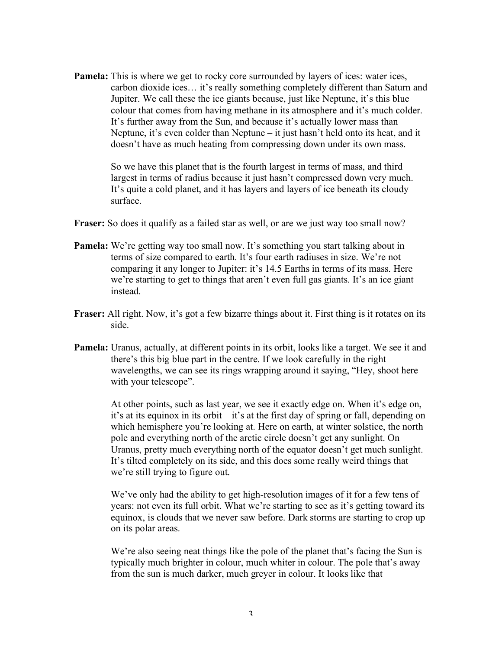**Pamela:** This is where we get to rocky core surrounded by layers of ices: water ices, carbon dioxide ices… it's really something completely different than Saturn and Jupiter. We call these the ice giants because, just like Neptune, it's this blue colour that comes from having methane in its atmosphere and it's much colder. It's further away from the Sun, and because it's actually lower mass than Neptune, it's even colder than Neptune – it just hasn't held onto its heat, and it doesn't have as much heating from compressing down under its own mass.

> So we have this planet that is the fourth largest in terms of mass, and third largest in terms of radius because it just hasn't compressed down very much. It's quite a cold planet, and it has layers and layers of ice beneath its cloudy surface.

- **Fraser:** So does it qualify as a failed star as well, or are we just way too small now?
- **Pamela:** We're getting way too small now. It's something you start talking about in terms of size compared to earth. It's four earth radiuses in size. We're not comparing it any longer to Jupiter: it's 14.5 Earths in terms of its mass. Here we're starting to get to things that aren't even full gas giants. It's an ice giant instead.
- **Fraser:** All right. Now, it's got a few bizarre things about it. First thing is it rotates on its side.
- **Pamela:** Uranus, actually, at different points in its orbit, looks like a target. We see it and there's this big blue part in the centre. If we look carefully in the right wavelengths, we can see its rings wrapping around it saying, "Hey, shoot here with your telescope".

At other points, such as last year, we see it exactly edge on. When it's edge on, it's at its equinox in its orbit – it's at the first day of spring or fall, depending on which hemisphere you're looking at. Here on earth, at winter solstice, the north pole and everything north of the arctic circle doesn't get any sunlight. On Uranus, pretty much everything north of the equator doesn't get much sunlight. It's tilted completely on its side, and this does some really weird things that we're still trying to figure out.

We've only had the ability to get high-resolution images of it for a few tens of years: not even its full orbit. What we're starting to see as it's getting toward its equinox, is clouds that we never saw before. Dark storms are starting to crop up on its polar areas.

We're also seeing neat things like the pole of the planet that's facing the Sun is typically much brighter in colour, much whiter in colour. The pole that's away from the sun is much darker, much greyer in colour. It looks like that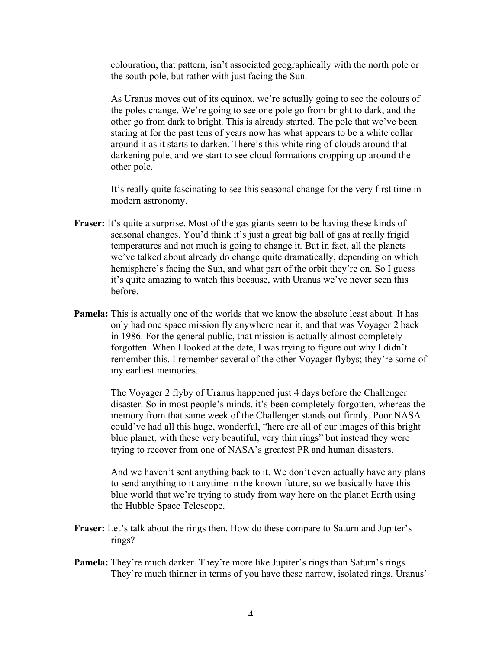colouration, that pattern, isn't associated geographically with the north pole or the south pole, but rather with just facing the Sun.

As Uranus moves out of its equinox, we're actually going to see the colours of the poles change. We're going to see one pole go from bright to dark, and the other go from dark to bright. This is already started. The pole that we've been staring at for the past tens of years now has what appears to be a white collar around it as it starts to darken. There's this white ring of clouds around that darkening pole, and we start to see cloud formations cropping up around the other pole.

It's really quite fascinating to see this seasonal change for the very first time in modern astronomy.

- **Fraser:** It's quite a surprise. Most of the gas giants seem to be having these kinds of seasonal changes. You'd think it's just a great big ball of gas at really frigid temperatures and not much is going to change it. But in fact, all the planets we've talked about already do change quite dramatically, depending on which hemisphere's facing the Sun, and what part of the orbit they're on. So I guess it's quite amazing to watch this because, with Uranus we've never seen this before.
- **Pamela:** This is actually one of the worlds that we know the absolute least about. It has only had one space mission fly anywhere near it, and that was Voyager 2 back in 1986. For the general public, that mission is actually almost completely forgotten. When I looked at the date, I was trying to figure out why I didn't remember this. I remember several of the other Voyager flybys; they're some of my earliest memories.

The Voyager 2 flyby of Uranus happened just 4 days before the Challenger disaster. So in most people's minds, it's been completely forgotten, whereas the memory from that same week of the Challenger stands out firmly. Poor NASA could've had all this huge, wonderful, "here are all of our images of this bright blue planet, with these very beautiful, very thin rings" but instead they were trying to recover from one of NASA's greatest PR and human disasters.

And we haven't sent anything back to it. We don't even actually have any plans to send anything to it anytime in the known future, so we basically have this blue world that we're trying to study from way here on the planet Earth using the Hubble Space Telescope.

- **Fraser:** Let's talk about the rings then. How do these compare to Saturn and Jupiter's rings?
- **Pamela:** They're much darker. They're more like Jupiter's rings than Saturn's rings. They're much thinner in terms of you have these narrow, isolated rings. Uranus'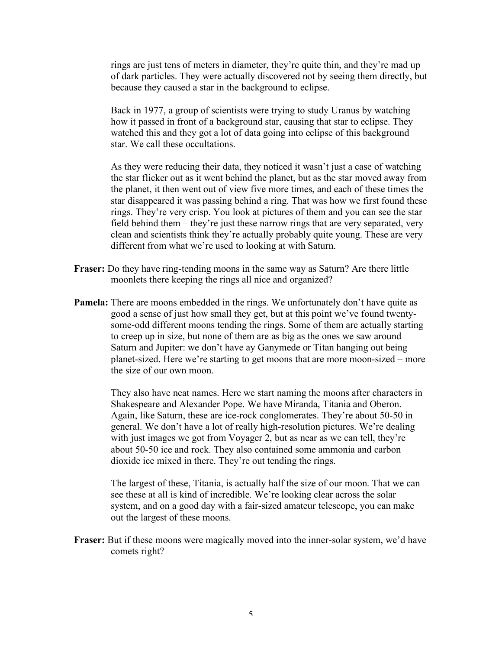rings are just tens of meters in diameter, they're quite thin, and they're mad up of dark particles. They were actually discovered not by seeing them directly, but because they caused a star in the background to eclipse.

Back in 1977, a group of scientists were trying to study Uranus by watching how it passed in front of a background star, causing that star to eclipse. They watched this and they got a lot of data going into eclipse of this background star. We call these occultations.

As they were reducing their data, they noticed it wasn't just a case of watching the star flicker out as it went behind the planet, but as the star moved away from the planet, it then went out of view five more times, and each of these times the star disappeared it was passing behind a ring. That was how we first found these rings. They're very crisp. You look at pictures of them and you can see the star field behind them – they're just these narrow rings that are very separated, very clean and scientists think they're actually probably quite young. These are very different from what we're used to looking at with Saturn.

- **Fraser:** Do they have ring-tending moons in the same way as Saturn? Are there little moonlets there keeping the rings all nice and organized?
- **Pamela:** There are moons embedded in the rings. We unfortunately don't have quite as good a sense of just how small they get, but at this point we've found twentysome-odd different moons tending the rings. Some of them are actually starting to creep up in size, but none of them are as big as the ones we saw around Saturn and Jupiter: we don't have ay Ganymede or Titan hanging out being planet-sized. Here we're starting to get moons that are more moon-sized – more the size of our own moon.

They also have neat names. Here we start naming the moons after characters in Shakespeare and Alexander Pope. We have Miranda, Titania and Oberon. Again, like Saturn, these are ice-rock conglomerates. They're about 50-50 in general. We don't have a lot of really high-resolution pictures. We're dealing with just images we got from Voyager 2, but as near as we can tell, they're about 50-50 ice and rock. They also contained some ammonia and carbon dioxide ice mixed in there. They're out tending the rings.

The largest of these, Titania, is actually half the size of our moon. That we can see these at all is kind of incredible. We're looking clear across the solar system, and on a good day with a fair-sized amateur telescope, you can make out the largest of these moons.

**Fraser:** But if these moons were magically moved into the inner-solar system, we'd have comets right?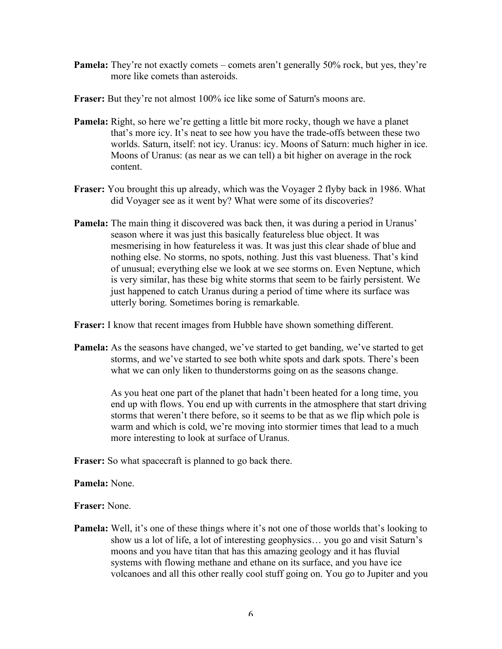**Pamela:** They're not exactly comets – comets aren't generally 50% rock, but yes, they're more like comets than asteroids.

**Fraser:** But they're not almost 100% ice like some of Saturn's moons are.

- **Pamela:** Right, so here we're getting a little bit more rocky, though we have a planet that's more icy. It's neat to see how you have the trade-offs between these two worlds. Saturn, itself: not icy. Uranus: icy. Moons of Saturn: much higher in ice. Moons of Uranus: (as near as we can tell) a bit higher on average in the rock content.
- **Fraser:** You brought this up already, which was the Voyager 2 flyby back in 1986. What did Voyager see as it went by? What were some of its discoveries?
- **Pamela:** The main thing it discovered was back then, it was during a period in Uranus' season where it was just this basically featureless blue object. It was mesmerising in how featureless it was. It was just this clear shade of blue and nothing else. No storms, no spots, nothing. Just this vast blueness. That's kind of unusual; everything else we look at we see storms on. Even Neptune, which is very similar, has these big white storms that seem to be fairly persistent. We just happened to catch Uranus during a period of time where its surface was utterly boring. Sometimes boring is remarkable.

**Fraser:** I know that recent images from Hubble have shown something different.

**Pamela:** As the seasons have changed, we've started to get banding, we've started to get storms, and we've started to see both white spots and dark spots. There's been what we can only liken to thunderstorms going on as the seasons change.

> As you heat one part of the planet that hadn't been heated for a long time, you end up with flows. You end up with currents in the atmosphere that start driving storms that weren't there before, so it seems to be that as we flip which pole is warm and which is cold, we're moving into stormier times that lead to a much more interesting to look at surface of Uranus.

**Fraser:** So what spacecraft is planned to go back there.

**Pamela:** None.

**Fraser:** None.

**Pamela:** Well, it's one of these things where it's not one of those worlds that's looking to show us a lot of life, a lot of interesting geophysics… you go and visit Saturn's moons and you have titan that has this amazing geology and it has fluvial systems with flowing methane and ethane on its surface, and you have ice volcanoes and all this other really cool stuff going on. You go to Jupiter and you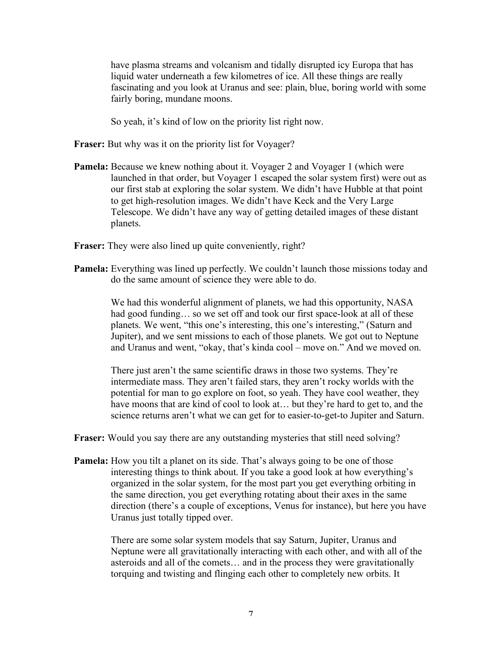have plasma streams and volcanism and tidally disrupted icy Europa that has liquid water underneath a few kilometres of ice. All these things are really fascinating and you look at Uranus and see: plain, blue, boring world with some fairly boring, mundane moons.

So yeah, it's kind of low on the priority list right now.

- **Fraser:** But why was it on the priority list for Voyager?
- **Pamela:** Because we knew nothing about it. Voyager 2 and Voyager 1 (which were launched in that order, but Voyager 1 escaped the solar system first) were out as our first stab at exploring the solar system. We didn't have Hubble at that point to get high-resolution images. We didn't have Keck and the Very Large Telescope. We didn't have any way of getting detailed images of these distant planets.
- **Fraser:** They were also lined up quite conveniently, right?
- **Pamela:** Everything was lined up perfectly. We couldn't launch those missions today and do the same amount of science they were able to do.

We had this wonderful alignment of planets, we had this opportunity, NASA had good funding... so we set off and took our first space-look at all of these planets. We went, "this one's interesting, this one's interesting," (Saturn and Jupiter), and we sent missions to each of those planets. We got out to Neptune and Uranus and went, "okay, that's kinda cool – move on." And we moved on.

There just aren't the same scientific draws in those two systems. They're intermediate mass. They aren't failed stars, they aren't rocky worlds with the potential for man to go explore on foot, so yeah. They have cool weather, they have moons that are kind of cool to look at... but they're hard to get to, and the science returns aren't what we can get for to easier-to-get-to Jupiter and Saturn.

**Fraser:** Would you say there are any outstanding mysteries that still need solving?

**Pamela:** How you tilt a planet on its side. That's always going to be one of those interesting things to think about. If you take a good look at how everything's organized in the solar system, for the most part you get everything orbiting in the same direction, you get everything rotating about their axes in the same direction (there's a couple of exceptions, Venus for instance), but here you have Uranus just totally tipped over.

> There are some solar system models that say Saturn, Jupiter, Uranus and Neptune were all gravitationally interacting with each other, and with all of the asteroids and all of the comets… and in the process they were gravitationally torquing and twisting and flinging each other to completely new orbits. It